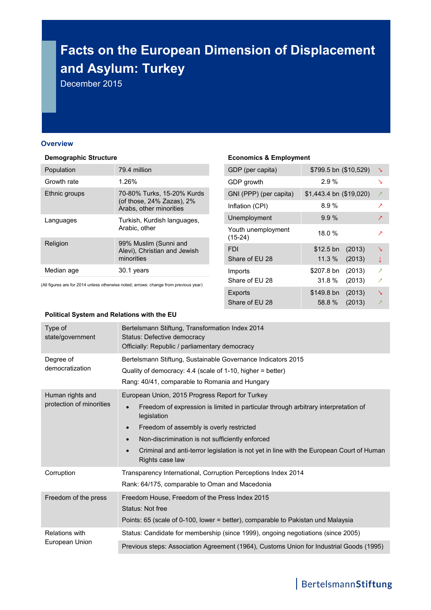# **Facts on the European Dimension of Displacement and Asylum: Turkey**

December 2015

#### **Overview**

#### **Demographic Structure**

| Population    | 79.4 million                                                                       |
|---------------|------------------------------------------------------------------------------------|
| Growth rate   | 1.26%                                                                              |
| Ethnic groups | 70-80% Turks, 15-20% Kurds<br>(of those, 24% Zazas), 2%<br>Arabs, other minorities |
| Languages     | Turkish, Kurdish languages,<br>Arabic, other                                       |
| Religion      | 99% Muslim (Sunni and<br>Alevi), Christian and Jewish<br>minorities                |
| Median age    | 30.1 years                                                                         |
|               |                                                                                    |

(All figures are for 2014 unless otherwise noted; arrows: change from previous year)

# **Economics & Employment**

| GDP (per capita)                | \$799.5 bn (\$10,529)     | ↘                        |
|---------------------------------|---------------------------|--------------------------|
| GDP growth                      | $2.9\%$                   | ↘                        |
| GNI (PPP) (per capita)          | $$1,443.4$ bn $($19,020)$ | ↗                        |
| Inflation (CPI)                 | $8.9\%$                   | ↗                        |
| Unemployment                    | $9.9\%$                   | ↗                        |
| Youth unemployment<br>$(15-24)$ | 18.0%                     | ↗                        |
| FDI                             | (2013)<br>$$12.5 b$ n     | ↘                        |
| Share of EU 28                  | $11.3\%$<br>(2013)        | T                        |
| Imports                         | (2013)<br>\$207.8 bn      | $\overline{\phantom{a}}$ |
| Share of EU 28                  | 31.8 %<br>(2013)          | ↗                        |
| <b>Exports</b>                  | (2013)<br>\$149.8 bn      | ╲                        |
| Share of EU 28                  | 58.8%<br>(2013)           |                          |
|                                 |                           |                          |

#### **Political System and Relations with the EU**

| Type of<br>state/government                  | Bertelsmann Stiftung, Transformation Index 2014<br>Status: Defective democracy<br>Officially: Republic / parliamentary democracy                                                                                                                                                                                                                                                                                       |
|----------------------------------------------|------------------------------------------------------------------------------------------------------------------------------------------------------------------------------------------------------------------------------------------------------------------------------------------------------------------------------------------------------------------------------------------------------------------------|
| Degree of<br>democratization                 | Bertelsmann Stiftung, Sustainable Governance Indicators 2015<br>Quality of democracy: 4.4 (scale of 1-10, higher = better)<br>Rang: 40/41, comparable to Romania and Hungary                                                                                                                                                                                                                                           |
| Human rights and<br>protection of minorities | European Union, 2015 Progress Report for Turkey<br>Freedom of expression is limited in particular through arbitrary interpretation of<br>$\bullet$<br>legislation<br>Freedom of assembly is overly restricted<br>$\bullet$<br>Non-discrimination is not sufficiently enforced<br>$\bullet$<br>Criminal and anti-terror legislation is not yet in line with the European Court of Human<br>$\bullet$<br>Rights case law |
| Corruption                                   | Transparency International, Corruption Perceptions Index 2014<br>Rank: 64/175, comparable to Oman and Macedonia                                                                                                                                                                                                                                                                                                        |
| Freedom of the press                         | Freedom House, Freedom of the Press Index 2015<br>Status: Not free<br>Points: 65 (scale of 0-100, lower = better), comparable to Pakistan und Malaysia                                                                                                                                                                                                                                                                 |
| <b>Relations with</b><br>European Union      | Status: Candidate for membership (since 1999), ongoing negotiations (since 2005)                                                                                                                                                                                                                                                                                                                                       |
|                                              | Previous steps: Association Agreement (1964), Customs Union for Industrial Goods (1995)                                                                                                                                                                                                                                                                                                                                |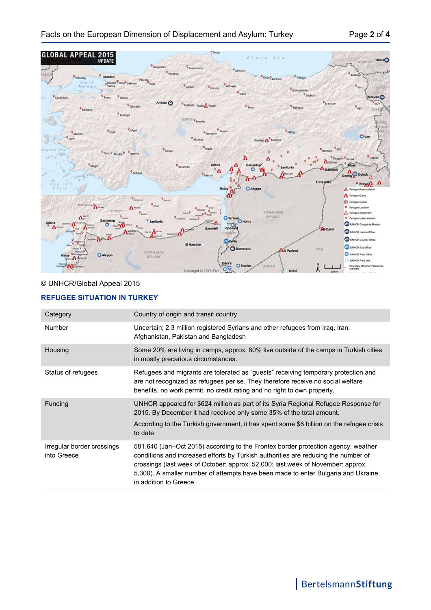

## © UNHCR/Global Appeal 2015

### **REFUGEE SITUATION IN TURKEY**

| Category                                  | Country of origin and transit country                                                                                                                                                                                                                                                                                                                                      |
|-------------------------------------------|----------------------------------------------------------------------------------------------------------------------------------------------------------------------------------------------------------------------------------------------------------------------------------------------------------------------------------------------------------------------------|
| <b>Number</b>                             | Uncertain; 2.3 million registered Syrians and other refugees from Iraq, Iran,<br>Afghanistan, Pakistan and Bangladesh                                                                                                                                                                                                                                                      |
| Housing                                   | Some 20% are living in camps, approx. 80% live outside of the camps in Turkish cities<br>in mostly precarious circumstances.                                                                                                                                                                                                                                               |
| Status of refugees                        | Refugees and migrants are tolerated as "guests" receiving temporary protection and<br>are not recognized as refugees per se. They therefore receive no social welfare<br>benefits, no work permit, no credit rating and no right to own property.                                                                                                                          |
| Funding                                   | UNHCR appealed for \$624 million as part of its Syria Regional Refugee Response for<br>2015. By December it had received only some 35% of the total amount.<br>According to the Turkish government, it has spent some \$8 billion on the refugee crisis<br>to date.                                                                                                        |
| Irregular border crossings<br>into Greece | 581,640 (Jan–Oct 2015) according to the Frontex border protection agency; weather<br>conditions and increased efforts by Turkish authorities are reducing the number of<br>crossings (last week of October: approx. 52,000; last week of November: approx.<br>5,300). A smaller number of attempts have been made to enter Bulgaria and Ukraine,<br>in addition to Greece. |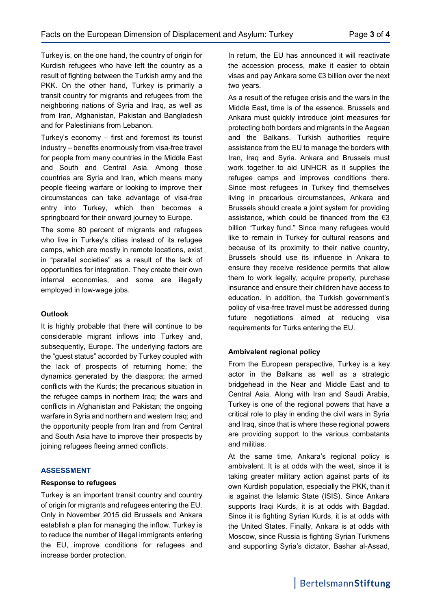Turkey is, on the one hand, the country of origin for Kurdish refugees who have left the country as a result of fighting between the Turkish army and the PKK. On the other hand, Turkey is primarily a transit country for migrants and refugees from the neighboring nations of Syria and Iraq, as well as from Iran, Afghanistan, Pakistan and Bangladesh and for Palestinians from Lebanon.

Turkey's economy – first and foremost its tourist industry – benefits enormously from visa-free travel for people from many countries in the Middle East and South and Central Asia. Among those countries are Syria and Iran, which means many people fleeing warfare or looking to improve their circumstances can take advantage of visa-free entry into Turkey, which then becomes a springboard for their onward journey to Europe.

The some 80 percent of migrants and refugees who live in Turkey's cities instead of its refugee camps, which are mostly in remote locations, exist in "parallel societies" as a result of the lack of opportunities for integration. They create their own internal economies, and some are illegally employed in low-wage jobs.

#### **Outlook**

It is highly probable that there will continue to be considerable migrant inflows into Turkey and, subsequently, Europe. The underlying factors are the "guest status" accorded by Turkey coupled with the lack of prospects of returning home; the dynamics generated by the diaspora; the armed conflicts with the Kurds; the precarious situation in the refugee camps in northern Iraq; the wars and conflicts in Afghanistan and Pakistan; the ongoing warfare in Syria and northern and western Iraq; and the opportunity people from Iran and from Central and South Asia have to improve their prospects by joining refugees fleeing armed conflicts.

#### **ASSESSMENT**

#### **Response to refugees**

Turkey is an important transit country and country of origin for migrants and refugees entering the EU. Only in November 2015 did Brussels and Ankara establish a plan for managing the inflow. Turkey is to reduce the number of illegal immigrants entering the EU, improve conditions for refugees and increase border protection.

In return, the EU has announced it will reactivate the accession process, make it easier to obtain visas and pay Ankara some €3 billion over the next two years.

As a result of the refugee crisis and the wars in the Middle East, time is of the essence. Brussels and Ankara must quickly introduce joint measures for protecting both borders and migrants in the Aegean and the Balkans. Turkish authorities require assistance from the EU to manage the borders with Iran, Iraq and Syria. Ankara and Brussels must work together to aid UNHCR as it supplies the refugee camps and improves conditions there. Since most refugees in Turkey find themselves living in precarious circumstances, Ankara and Brussels should create a joint system for providing assistance, which could be financed from the  $\epsilon$ 3 billion "Turkey fund." Since many refugees would like to remain in Turkey for cultural reasons and because of its proximity to their native country, Brussels should use its influence in Ankara to ensure they receive residence permits that allow them to work legally, acquire property, purchase insurance and ensure their children have access to education. In addition, the Turkish government's policy of visa-free travel must be addressed during future negotiations aimed at reducing visa requirements for Turks entering the EU.

#### **Ambivalent regional policy**

From the European perspective, Turkey is a key actor in the Balkans as well as a strategic bridgehead in the Near and Middle East and to Central Asia. Along with Iran and Saudi Arabia, Turkey is one of the regional powers that have a critical role to play in ending the civil wars in Syria and Iraq, since that is where these regional powers are providing support to the various combatants and militias.

At the same time, Ankara's regional policy is ambivalent. It is at odds with the west, since it is taking greater military action against parts of its own Kurdish population, especially the PKK, than it is against the Islamic State (ISIS). Since Ankara supports Iraqi Kurds, it is at odds with Bagdad. Since it is fighting Syrian Kurds, it is at odds with the United States. Finally, Ankara is at odds with Moscow, since Russia is fighting Syrian Turkmens and supporting Syria's dictator, Bashar al-Assad,